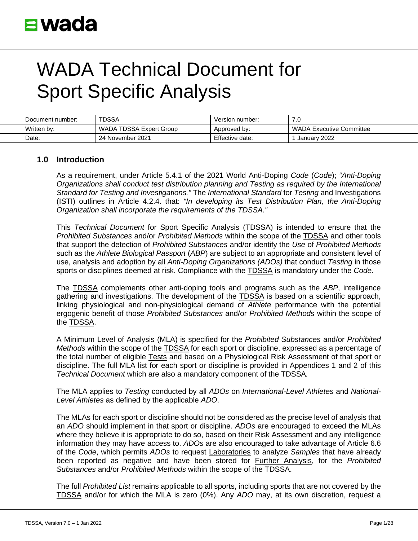| Document number: | <b>TDSSA</b>            | Version number: | ں. ا                            |
|------------------|-------------------------|-----------------|---------------------------------|
| Written by:      | WADA TDSSA Expert Group | Approved by:    | <b>WADA Executive Committee</b> |
| Date:            | 24 November 2021        | Effective date: | January 2022                    |

### **1.0 Introduction**

As a requirement, under Article 5.4.1 of the 2021 World Anti-Doping *Code* (*Code*); *"Anti-Doping Organizations shall conduct test distribution planning and Testing as required by the International Standard for Testing and Investigations."* The *International Standard* for *Testing* and Investigations (ISTI) outlines in Article 4.2.4. that: *"In developing its Test Distribution Plan, the Anti-Doping Organization shall incorporate the requirements of the TDSSA."*

This *Technical Document* for Sport Specific Analysis (TDSSA) is intended to ensure that the *Prohibited Substances* and/or *Prohibited Methods* within the scope of the TDSSA and other tools that support the detection of *Prohibited Substances* and/or identify the *Use* of *Prohibited Methods* such as the *Athlete Biological Passport* (*ABP*) are subject to an appropriate and consistent level of use, analysis and adoption by all *Anti-Doping Organizations (ADOs)* that conduct *Testing* in those sports or disciplines deemed at risk. Compliance with the TDSSA is mandatory under the *Code*.

The TDSSA complements other anti-doping tools and programs such as the *ABP*, intelligence gathering and investigations. The development of the **TDSSA** is based on a scientific approach, linking physiological and non-physiological demand of *Athlete* performance with the potential ergogenic benefit of those *Prohibited Substances* and/or *Prohibited Methods* within the scope of the TDSSA.

A Minimum Level of Analysis (MLA) is specified for the *Prohibited Substances* and/or *Prohibited Methods* within the scope of the TDSSA for each sport or discipline, expressed as a percentage of the total number of eligible Tests and based on a Physiological Risk Assessment of that sport or discipline. The full MLA list for each sport or discipline is provided in Appendices 1 and 2 of this *Technical Document* which are also a mandatory component of the TDSSA*.*

The MLA applies to *Testing* conducted by all *ADOs* on *International-Level Athletes* and *National-Level Athletes* as defined by the applicable *ADO*.

The MLAs for each sport or discipline should not be considered as the precise level of analysis that an *ADO* should implement in that sport or discipline. *ADOs* are encouraged to exceed the MLAs where they believe it is appropriate to do so, based on their Risk Assessment and any intelligence information they may have access to. *ADOs* are also encouraged to take advantage of Article 6.6 of the *Code*, which permits *ADOs* to request Laboratories to analyze *Samples* that have already been reported as negative and have been stored for Further Analysis, for the *Prohibited Substances* and/or *Prohibited Methods* within the scope of the TDSSA.

The full *Prohibited List* remains applicable to all sports, including sports that are not covered by the TDSSA and/or for which the MLA is zero (0%). Any *ADO* may, at its own discretion, request a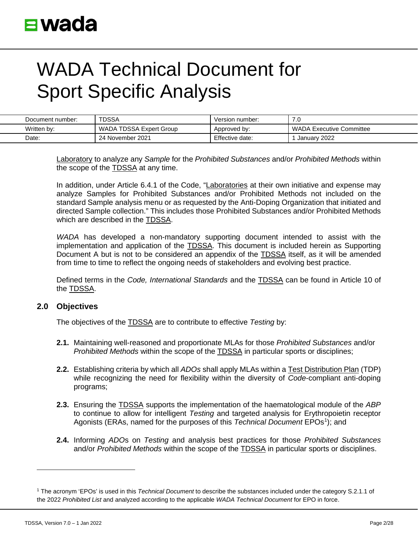| Document number: | <b>TDSSA</b>            | Version number: | ں. ا                            |
|------------------|-------------------------|-----------------|---------------------------------|
| Written by:      | WADA TDSSA Expert Group | Approved by:    | <b>WADA Executive Committee</b> |
| Date:            | 24 November 2021        | Effective date: | January 2022                    |

Laboratory to analyze any *Sample* for the *Prohibited Substances* and/or *Prohibited Methods* within the scope of the TDSSA at any time.

In addition, under Article 6.4.1 of the Code, "Laboratories at their own initiative and expense may analyze Samples for Prohibited Substances and/or Prohibited Methods not included on the standard Sample analysis menu or as requested by the Anti-Doping Organization that initiated and directed Sample collection." This includes those Prohibited Substances and/or Prohibited Methods which are described in the TDSSA.

*WADA* has developed a non-mandatory supporting document intended to assist with the implementation and application of the TDSSA. This document is included herein as Supporting Document A but is not to be considered an appendix of the TDSSA itself, as it will be amended from time to time to reflect the ongoing needs of stakeholders and evolving best practice.

Defined terms in the *Code, International Standards* and the TDSSA can be found in Article 10 of the TDSSA.

### **2.0 Objectives**

The objectives of the TDSSA are to contribute to effective *Testing* by:

- **2.1.** Maintaining well-reasoned and proportionate MLAs for those *Prohibited Substances* and/or *Prohibited Methods* within the scope of the TDSSA in particular sports or disciplines;
- **2.2.** Establishing criteria by which all *ADOs* shall apply MLAs within a Test Distribution Plan (TDP) while recognizing the need for flexibility within the diversity of *Code*-compliant anti-doping programs;
- **2.3.** Ensuring the TDSSA supports the implementation of the haematological module of the *ABP*  to continue to allow for intelligent *Testing* and targeted analysis for Erythropoietin receptor Agonists (ERAs, named for the purposes of this *Technical Document* EPOs<sup>[1](#page-1-0)</sup>); and
- **2.4.** Informing *ADO*s on *Testing* and analysis best practices for those *Prohibited Substances* and/or *Prohibited Methods* within the scope of the TDSSA in particular sports or disciplines.

<span id="page-1-0"></span><sup>1</sup> The acronym 'EPOs' is used in this *Technical Document* to describe the substances included under the category S.2.1.1 of the 2022 *Prohibited List* and analyzed according to the applicable *WADA Technical Document* for EPO in force.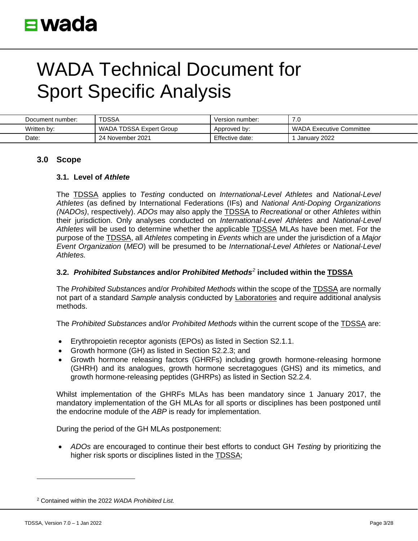| Document number: | <b>TDSSA</b>            | Version number: | 7.0                             |
|------------------|-------------------------|-----------------|---------------------------------|
| Written by:      | WADA TDSSA Expert Group | Approved by:    | <b>WADA Executive Committee</b> |
| Date:            | 24 November 2021        | Effective date: | January 2022                    |

### **3.0 Scope**

#### **3.1. Level of** *Athlete*

The TDSSA applies to *Testing* conducted on *International-Level Athletes* and *National-Level Athletes* (as defined by International Federations (IFs) and *National Anti-Doping Organizations (NADOs)*, respectively). *ADOs* may also apply the TDSSA to *Recreational* or other *Athletes* within their jurisdiction. Only analyses conducted on *International-Level Athletes* and *National-Level Athletes* will be used to determine whether the applicable TDSSA MLAs have been met. For the purpose of the TDSSA, all *Athletes* competing in *Events* which are under the jurisdiction of a *Major Event Organization* (*MEO*) will be presumed to be *International-Level Athletes* or *National-Level Athletes.*

### **3.2.** *Prohibited Substances* **and/or** *Prohibited Methods[2](#page-2-0)* **included within the TDSSA**

The *Prohibited Substances* and/or *Prohibited Methods* within the scope of the TDSSA are normally not part of a standard *Sample* analysis conducted by Laboratories and require additional analysis methods.

The *Prohibited Substances* and/or *Prohibited Methods* within the current scope of the TDSSA are:

- Erythropoietin receptor agonists (EPOs) as listed in Section S2.1.1.
- Growth hormone (GH) as listed in Section S2.2.3; and
- Growth hormone releasing factors (GHRFs) including growth hormone-releasing hormone (GHRH) and its analogues, growth hormone secretagogues (GHS) and its mimetics, and growth hormone-releasing peptides (GHRPs) as listed in Section S2.2.4.

Whilst implementation of the GHRFs MLAs has been mandatory since 1 January 2017, the mandatory implementation of the GH MLAs for all sports or disciplines has been postponed until the endocrine module of the *ABP* is ready for implementation.

During the period of the GH MLAs postponement:

• *ADOs* are encouraged to continue their best efforts to conduct GH *Testing* by prioritizing the higher risk sports or disciplines listed in the TDSSA;

<span id="page-2-0"></span><sup>2</sup> Contained within the 2022 *WADA Prohibited List.*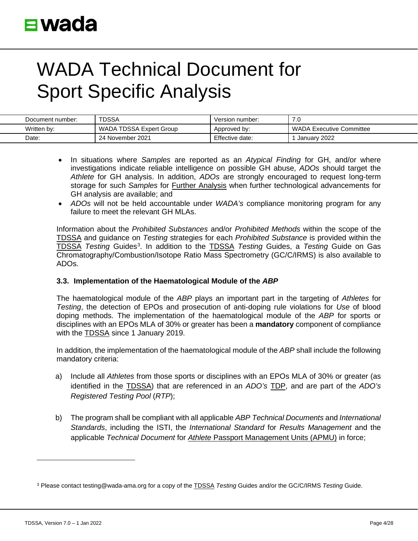| Document number: | <b>TDSSA</b>            | Version number: | . U                      |
|------------------|-------------------------|-----------------|--------------------------|
| Written by:      | WADA TDSSA Expert Group | Approved by:    | WADA Executive Committee |
| Date:            | 24 November 2021        | Effective date: | January 2022             |

- In situations where *Samples* are reported as an *Atypical Finding* for GH, and/or where investigations indicate reliable intelligence on possible GH abuse, *ADOs* should target the *Athlete* for GH analysis. In addition, *ADOs* are strongly encouraged to request long-term storage for such *Samples* for Further Analysis when further technological advancements for GH analysis are available; and
- *ADOs* will not be held accountable under *WADA's* compliance monitoring program for any failure to meet the relevant GH MLAs.

Information about the *Prohibited Substances* and/or *Prohibited Methods* within the scope of the TDSSA and guidance on *Testing* strategies for each *Prohibited Substance* is provided within the TDSSA *Testing* Guides[3](#page-3-0) . In addition to the TDSSA *Testing* Guides, a *Testing* Guide on Gas Chromatography/Combustion/Isotope Ratio Mass Spectrometry (GC/C/IRMS) is also available to ADOs.

### **3.3. Implementation of the Haematological Module of the** *ABP*

The haematological module of the *ABP* plays an important part in the targeting of *Athletes* for *Testing*, the detection of EPOs and prosecution of anti-doping rule violations for *Use* of blood doping methods. The implementation of the haematological module of the *ABP* for sports or disciplines with an EPOs MLA of 30% or greater has been a **mandatory** component of compliance with the TDSSA since 1 January 2019.

In addition, the implementation of the haematological module of the *ABP* shall include the following mandatory criteria:

- a) Include all *Athletes* from those sports or disciplines with an EPOs MLA of 30% or greater (as identified in the TDSSA) that are referenced in an *ADO's* TDP, and are part of the *ADO's Registered Testing Pool* (*RTP*);
- b) The program shall be compliant with all applicable *ABP Technical Documents* and *International Standards*, including the ISTI, the *International Standard* for *Results Management* and the applicable *Technical Document* for *Athlete* Passport Management Units (APMU) in force;

<span id="page-3-0"></span><sup>3</sup> Please contact testing@wada-ama.org for a copy of the TDSSA *Testing* Guides and/or the GC/C/IRMS *Testing* Guide.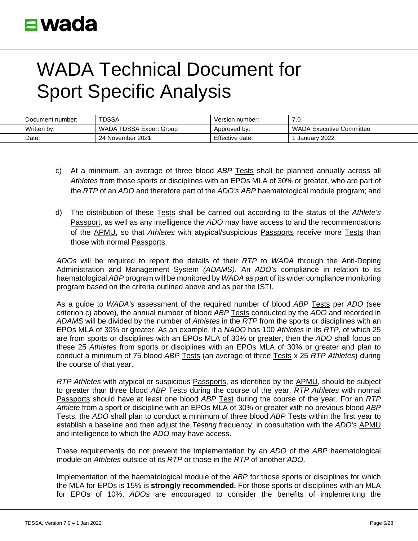| Document number: | TDSSA                   | Version number: | 7.0                      |
|------------------|-------------------------|-----------------|--------------------------|
| Written by:      | WADA TDSSA Expert Group | Approved by:    | WADA Executive Committee |
| Date:            | 24 November 2021        | Effective date: | January 2022             |

- c) At a minimum, an average of three blood *ABP* Tests shall be planned annually across all *Athletes* from those sports or disciplines with an EPOs MLA of 30% or greater, who are part of the *RTP* of an *ADO* and therefore part of the *ADO's ABP* haematological module program; and
- d) The distribution of these Tests shall be carried out according to the status of the *Athlete's* Passport, as well as any intelligence the *ADO* may have access to and the recommendations of the APMU, so that *Athletes* with atypical/suspicious Passports receive more Tests than those with normal Passports.

*ADOs* will be required to report the details of their *RTP* to *WADA* through the Anti-Doping Administration and Management System *(ADAMS)*. An *ADO's* compliance in relation to its haematological *ABP* program will be monitored by *WADA* as part of its wider compliance monitoring program based on the criteria outlined above and as per the ISTI.

As a guide to *WADA's* assessment of the required number of blood *ABP* Tests per *ADO* (see criterion c) above), the annual number of blood *ABP* Tests conducted by the *ADO* and recorded in *ADAMS* will be divided by the number of *Athletes* in the *RTP* from the sports or disciplines with an EPOs MLA of 30% or greater. As an example, if a *NADO* has 100 *Athletes* in its *RTP*, of which 25 are from sports or disciplines with an EPOs MLA of 30% or greater, then the *ADO* shall focus on these 25 *Athletes* from sports or disciplines with an EPOs MLA of 30% or greater and plan to conduct a minimum of 75 blood *ABP* Tests (an average of three Tests x 25 *RTP Athletes*) during the course of that year.

*RTP Athletes* with atypical or suspicious Passports, as identified by the APMU, should be subject to greater than three blood *ABP* Tests during the course of the year. *RTP Athletes* with normal Passports should have at least one blood *ABP* Test during the course of the year. For an *RTP Athlete* from a sport or discipline with an EPOs MLA of 30% or greater with no previous blood *ABP* Tests, the *ADO* shall plan to conduct a minimum of three blood *ABP* Tests within the first year to establish a baseline and then adjust the *Testing* frequency, in consultation with the *ADO's* APMU and intelligence to which the *ADO* may have access.

These requirements do not prevent the implementation by an *ADO* of the *ABP* haematological module on *Athletes* outside of its *RTP* or those in the *RTP* of another *ADO*.

Implementation of the haematological module of the *ABP* for those sports or disciplines for which the MLA for EPOs is 15% is **strongly recommended.** For those sports or disciplines with an MLA for EPOs of 10%, *ADOs* are encouraged to consider the benefits of implementing the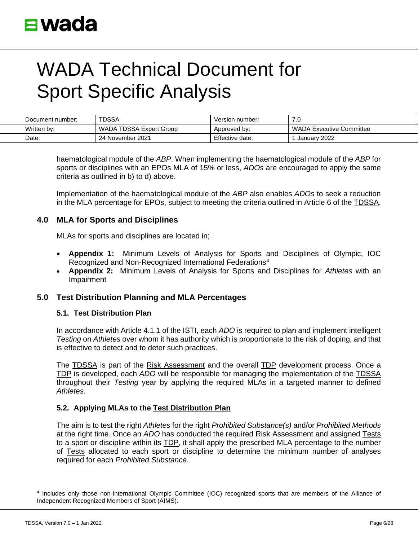| Document number: | <b>TDSSA</b>            | Version number: | ں. ا                     |
|------------------|-------------------------|-----------------|--------------------------|
| Written by:      | WADA TDSSA Expert Group | Approved by:    | WADA Executive Committee |
| Date:            | 24 November 2021        | Effective date: | January 2022             |

haematological module of the *ABP*. When implementing the haematological module of the *ABP* for sports or disciplines with an EPOs MLA of 15% or less, *ADOs* are encouraged to apply the same criteria as outlined in b) to d) above.

Implementation of the haematological module of the *ABP* also enables *ADOs* to seek a reduction in the MLA percentage for EPOs, subject to meeting the criteria outlined in Article 6 of the TDSSA.

### **4.0 MLA for Sports and Disciplines**

MLAs for sports and disciplines are located in;

- **Appendix 1:** Minimum Levels of Analysis for Sports and Disciplines of Olympic, IOC Recognized and Non-Recognized International Federation[s4](#page-5-0)
- **Appendix 2:** Minimum Levels of Analysis for Sports and Disciplines for *Athletes* with an Impairment

### **5.0 Test Distribution Planning and MLA Percentages**

#### **5.1. Test Distribution Plan**

In accordance with Article 4.1.1 of the ISTI, each *ADO* is required to plan and implement intelligent *Testing* on *Athletes* over whom it has authority which is proportionate to the risk of doping, and that is effective to detect and to deter such practices.

The TDSSA is part of the Risk Assessment and the overall TDP development process. Once a TDP is developed, each *ADO* will be responsible for managing the implementation of the TDSSA throughout their *Testing* year by applying the required MLAs in a targeted manner to defined *Athletes*.

### **5.2. Applying MLAs to the Test Distribution Plan**

The aim is to test the right *Athletes* for the right *Prohibited Substance(s)* and/or *Prohibited Methods* at the right time. Once an *ADO* has conducted the required Risk Assessment and assigned Tests to a sport or discipline within its TDP, it shall apply the prescribed MLA percentage to the number of Tests allocated to each sport or discipline to determine the minimum number of analyses required for each *Prohibited Substance*.

<span id="page-5-0"></span><sup>4</sup> Includes only those non-International Olympic Committee (IOC) recognized sports that are members of the Alliance of Independent Recognized Members of Sport (AIMS).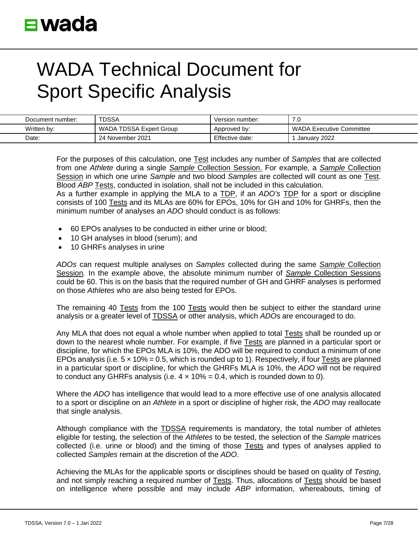| Document number: | <b>TDSSA</b>            | Version number: | 7.0                      |
|------------------|-------------------------|-----------------|--------------------------|
| Written by:      | WADA TDSSA Expert Group | Approved by:    | WADA Executive Committee |
| Date:            | 24 November 2021        | Effective date: | January 2022             |

For the purposes of this calculation, one Test includes any number of *Samples* that are collected from one *Athlete* during a single *Sample* Collection Session. For example, a *Sample* Collection Session in which one urine *Sample* and two blood *Samples* are collected will count as one Test. Blood *ABP* Tests, conducted in isolation, shall not be included in this calculation.

As a further example in applying the MLA to a TDP, if an *ADO's* TDP for a sport or discipline consists of 100 Tests and its MLAs are 60% for EPOs, 10% for GH and 10% for GHRFs, then the minimum number of analyses an *ADO* should conduct is as follows:

- 60 EPOs analyses to be conducted in either urine or blood;
- 10 GH analyses in blood (serum); and
- 10 GHRFs analyses in urine

*ADOs* can request multiple analyses on *Samples* collected during the same *Sample* Collection Session*.* In the example above, the absolute minimum number of *Sample* Collection Sessions could be 60. This is on the basis that the required number of GH and GHRF analyses is performed on those *Athletes* who are also being tested for EPOs.

The remaining 40 Tests from the 100 Tests would then be subject to either the standard urine analysis or a greater level of TDSSA or other analysis, which *ADO*s are encouraged to do.

Any MLA that does not equal a whole number when applied to total Tests shall be rounded up or down to the nearest whole number. For example, if five Tests are planned in a particular sport or discipline, for which the EPOs MLA is 10%, the ADO will be required to conduct a minimum of one EPOs analysis (i.e.  $5 \times 10\% = 0.5$ , which is rounded up to 1). Respectively, if four Tests are planned in a particular sport or discipline, for which the GHRFs MLA is 10%, the *ADO* will not be required to conduct any GHRFs analysis (i.e.  $4 \times 10\% = 0.4$ , which is rounded down to 0).

Where the *ADO* has intelligence that would lead to a more effective use of one analysis allocated to a sport or discipline on an *Athlete* in a sport or discipline of higher risk, the *ADO* may reallocate that single analysis.

Although compliance with the **TDSSA** requirements is mandatory, the total number of athletes eligible for testing, the selection of the *Athletes* to be tested, the selection of the *Sample* matrices collected (i.e. urine or blood) and the timing of those **Tests** and types of analyses applied to collected *Samples* remain at the discretion of the *ADO*.

Achieving the MLAs for the applicable sports or disciplines should be based on quality of *Testing*, and not simply reaching a required number of Tests. Thus, allocations of Tests should be based on intelligence where possible and may include *ABP* information, whereabouts, timing of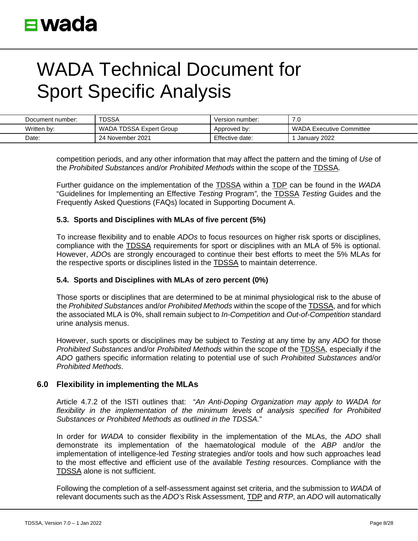| Document number: | TDSSA                   | Version number: | ں ،                             |
|------------------|-------------------------|-----------------|---------------------------------|
| Written by:      | WADA TDSSA Expert Group | Approved by:    | <b>WADA Executive Committee</b> |
| Date:            | 24 November 2021        | Effective date: | January 2022                    |

competition periods, and any other information that may affect the pattern and the timing of *Use* of the *Prohibited Substances* and/or *Prohibited Methods* within the scope of the TDSSA.

Further guidance on the implementation of the TDSSA within a TDP can be found in the *WADA* "Guidelines for Implementing an Effective *Testing* Program*",* the TDSSA *Testing* Guides and the Frequently Asked Questions (FAQs) located in Supporting Document A.

### **5.3. Sports and Disciplines with MLAs of five percent (5%)**

To increase flexibility and to enable *ADOs* to focus resources on higher risk sports or disciplines, compliance with the TDSSA requirements for sport or disciplines with an MLA of 5% is optional. However, *ADO*s are strongly encouraged to continue their best efforts to meet the 5% MLAs for the respective sports or disciplines listed in the TDSSA to maintain deterrence.

### **5.4. Sports and Disciplines with MLAs of zero percent (0%)**

Those sports or disciplines that are determined to be at minimal physiological risk to the abuse of the *Prohibited Substances* and/or *Prohibited Methods* within the scope of the TDSSA, and for which the associated MLA is 0%, shall remain subject to *In-Competition* and *Out-of-Competition* standard urine analysis menus.

However, such sports or disciplines may be subject to *Testing* at any time by any *ADO* for those *Prohibited Substances* and/or *Prohibited Methods* within the scope of the TDSSA, especially if the *ADO* gathers specific information relating to potential use of such *Prohibited Substances* and/or *Prohibited Methods*.

### **6.0 Flexibility in implementing the MLAs**

Article 4.7.2 of the ISTI outlines that: "*An Anti-Doping Organization may apply to WADA for*  flexibility in the implementation of the minimum levels of analysis specified for Prohibited *Substances or Prohibited Methods as outlined in the TDSSA.*"

In order for *WADA* to consider flexibility in the implementation of the MLAs, the *ADO* shall demonstrate its implementation of the haematological module of the *ABP* and/or the implementation of intelligence-led *Testing* strategies and/or tools and how such approaches lead to the most effective and efficient use of the available *Testing* resources. Compliance with the TDSSA alone is not sufficient.

Following the completion of a self-assessment against set criteria, and the submission to *WADA* of relevant documents such as the *ADO's* Risk Assessment, TDP and *RTP*, an *ADO* will automatically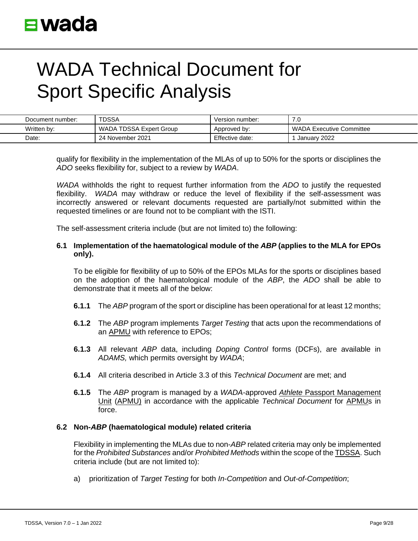| Document number: | <b>TDSSA</b>            | Version number: | 7.0                      |
|------------------|-------------------------|-----------------|--------------------------|
| Written by:      | WADA TDSSA Expert Group | Approved by:    | WADA Executive Committee |
| Date:            | 24 November 2021        | Effective date: | January 2022             |

qualify for flexibility in the implementation of the MLAs of up to 50% for the sports or disciplines the *ADO* seeks flexibility for, subject to a review by *WADA*.

*WADA* withholds the right to request further information from the *ADO* to justify the requested flexibility. *WADA* may withdraw or reduce the level of flexibility if the self-assessment was incorrectly answered or relevant documents requested are partially/not submitted within the requested timelines or are found not to be compliant with the ISTI.

The self-assessment criteria include (but are not limited to) the following:

#### **6.1 Implementation of the haematological module of the** *ABP* **(applies to the MLA for EPOs only).**

To be eligible for flexibility of up to 50% of the EPOs MLAs for the sports or disciplines based on the adoption of the haematological module of the *ABP*, the *ADO* shall be able to demonstrate that it meets all of the below:

- **6.1.1** The *ABP* program of the sport or discipline has been operational for at least 12 months;
- **6.1.2** The *ABP* program implements *Target Testing* that acts upon the recommendations of an APMU with reference to EPOs;
- **6.1.3** All relevant *ABP* data, including *Doping Control* forms (DCFs), are available in *ADAMS,* which permits oversight by *WADA*;
- **6.1.4** All criteria described in Article 3.3 of this *Technical Document* are met; and
- **6.1.5** The *ABP* program is managed by a *WADA*-approved *Athlete* Passport Management Unit (APMU) in accordance with the applicable *Technical Document* for APMUs in force.

#### **6.2 Non-***ABP* **(haematological module) related criteria**

Flexibility in implementing the MLAs due to non-*ABP* related criteria may only be implemented for the *Prohibited Substances* and/or *Prohibited Methods* within the scope of the TDSSA. Such criteria include (but are not limited to):

a) prioritization of *Target Testing* for both *In-Competition* and *Out-of-Competition*;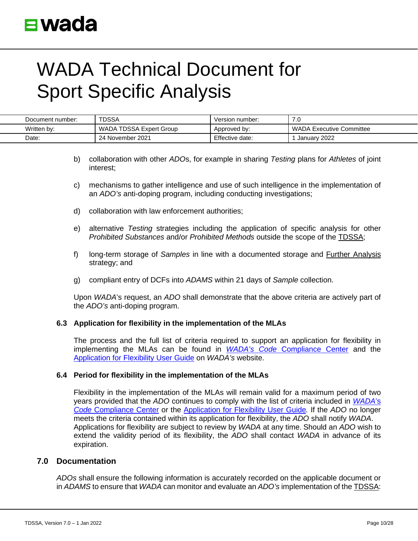| Document number: | <b>TDSSA</b>            | Version number: | 7.0                      |
|------------------|-------------------------|-----------------|--------------------------|
| Written by:      | WADA TDSSA Expert Group | Approved by:    | WADA Executive Committee |
| Date:            | 24 November 2021        | Effective date: | January 2022             |

- b) collaboration with other *ADO*s, for example in sharing *Testing* plans for *Athletes* of joint interest;
- c) mechanisms to gather intelligence and use of such intelligence in the implementation of an *ADO's* anti-doping program, including conducting investigations;
- d) collaboration with law enforcement authorities;
- e) alternative *Testing* strategies including the application of specific analysis for other *Prohibited Substances* and/or *Prohibited Methods* outside the scope of the TDSSA;
- f) long-term storage of *Samples* in line with a documented storage and Further Analysis strategy; and
- g) compliant entry of DCFs into *ADAMS* within 21 days of *Sample* collection.

Upon *WADA*'s request, an *ADO* shall demonstrate that the above criteria are actively part of the *ADO's* anti-doping program.

### **6.3 Application for flexibility in the implementation of the MLAs**

The process and the full list of criteria required to support an application for flexibility in implementing the MLAs can be found in *WADA's Code* [Compliance Center](https://ccq.wada-ama.org/ccq/pages/login.xhtml) and the [Application for Flexibility User Guide](https://www.wada-ama.org/en/resources/tdssa-application-flexibility-user-guide) on *WADA's* website.

#### **6.4 Period for flexibility in the implementation of the MLAs**

Flexibility in the implementation of the MLAs will remain valid for a maximum period of two years provided that the *ADO* continues to comply with the list of criteria included in *[WADA](https://ccq.wada-ama.org/ccq/pages/login.xhtml)*'s *Code* [Compliance Center](https://ccq.wada-ama.org/ccq/pages/login.xhtml) or the [Application for Flexibility User Guide](https://www.wada-ama.org/en/resources/tdssa-application-flexibility-user-guide#resource-download)*.* If the *ADO* no longer meets the criteria contained within its application for flexibility, the *ADO* shall notify *WADA*. Applications for flexibility are subject to review by *WADA* at any time. Should an *ADO* wish to extend the validity period of its flexibility, the *ADO* shall contact *WADA* in advance of its expiration.

### **7.0 Documentation**

*ADOs* shall ensure the following information is accurately recorded on the applicable document or in *ADAMS* to ensure that *WADA* can monitor and evaluate an *ADO's* implementation of the TDSSA: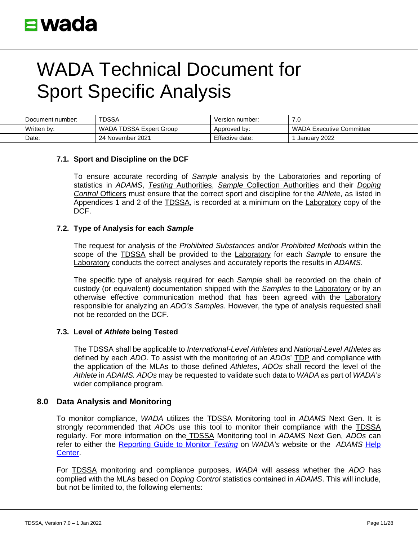| Document number: | <b>TDSSA</b>            | Version number: | ن. ا                     |
|------------------|-------------------------|-----------------|--------------------------|
| Written by:      | WADA TDSSA Expert Group | Approved by:    | WADA Executive Committee |
| Date:            | 24 November 2021        | Effective date: | January 2022             |

### **7.1. Sport and Discipline on the DCF**

To ensure accurate recording of *Sample* analysis by the Laboratories and reporting of statistics in *ADAMS*, *Testing* Authorities, *Sample* Collection Authorities and their *Doping Control* Officers must ensure that the correct sport and discipline for the *Athlete*, as listed in Appendices 1 and 2 of the TDSSA*,* is recorded at a minimum on the Laboratory copy of the DCF.

#### **7.2. Type of Analysis for each** *Sample*

The request for analysis of the *Prohibited Substances* and/or *Prohibited Methods* within the scope of the TDSSA shall be provided to the Laboratory for each *Sample* to ensure the Laboratory conducts the correct analyses and accurately reports the results in *ADAMS*.

The specific type of analysis required for each *Sample* shall be recorded on the chain of custody (or equivalent) documentation shipped with the *Samples* to the Laboratory or by an otherwise effective communication method that has been agreed with the Laboratory responsible for analyzing an *ADO's Samples*. However, the type of analysis requested shall not be recorded on the DCF.

#### **7.3. Level of** *Athlete* **being Tested**

The TDSSA shall be applicable to *International-Level Athletes* and *National-Level Athletes* as defined by each *ADO*. To assist with the monitoring of an *ADOs*' TDP and compliance with the application of the MLAs to those defined *Athletes*, *ADOs* shall record the level of the *Athlete* in *ADAMS. ADOs* may be requested to validate such data to *WADA* as part of *WADA's*  wider compliance program.

### **8.0 Data Analysis and Monitoring**

To monitor compliance, *WADA* utilizes the TDSSA Monitoring tool in *ADAMS* Next Gen. It is strongly recommended that *ADO*s use this tool to monitor their compliance with the TDSSA regularly. For more information on the TDSSA Monitoring tool in *ADAMS* Next Gen, *ADOs* can refer to either the [Reporting Guide to Monitor](https://www.wada-ama.org/en/resources/code-compliance/reporting-guide-to-monitor-testing) *Testing* on *WADA's* website or the *[ADAMS](https://adams-help.wada-ama.org/hc/en-us/articles/360020224054-3-5-TDSSA-Monitoring)* Help [Center.](https://adams-help.wada-ama.org/hc/en-us/articles/360020224054-3-5-TDSSA-Monitoring)

For TDSSA monitoring and compliance purposes, *WADA* will assess whether the *ADO* has complied with the MLAs based on *Doping Control* statistics contained in *ADAMS*. This will include, but not be limited to, the following elements: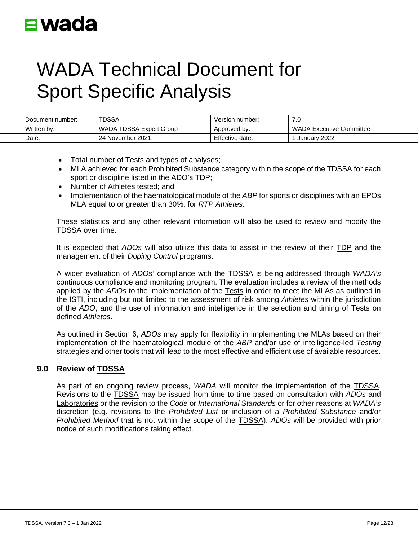| Document number: | <b>TDSSA</b>            | Version number: | .u                              |
|------------------|-------------------------|-----------------|---------------------------------|
| Written by:      | WADA TDSSA Expert Group | Approved by:    | <b>NADA Executive Committee</b> |
| Date:            | 24 November 2021        | Effective date: | January 2022                    |

- Total number of Tests and types of analyses;
- MLA achieved for each Prohibited Substance category within the scope of the TDSSA for each sport or discipline listed in the ADO's TDP;
- Number of Athletes tested; and
- Implementation of the haematological module of the *ABP* for sports or disciplines with an EPOs MLA equal to or greater than 30%, for *RTP Athletes*.

These statistics and any other relevant information will also be used to review and modify the TDSSA over time.

It is expected that *ADOs* will also utilize this data to assist in the review of their TDP and the management of their *Doping Control* programs.

A wider evaluation of *ADOs'* compliance with the TDSSA is being addressed through *WADA's* continuous compliance and monitoring program. The evaluation includes a review of the methods applied by the *ADOs* to the implementation of the Tests in order to meet the MLAs as outlined in the ISTI, including but not limited to the assessment of risk among *Athletes* within the jurisdiction of the *ADO*, and the use of information and intelligence in the selection and timing of Tests on defined *Athletes*.

As outlined in Section 6, *ADOs* may apply for flexibility in implementing the MLAs based on their implementation of the haematological module of the *ABP* and/or use of intelligence-led *Testing* strategies and other tools that will lead to the most effective and efficient use of available resources.

### **9.0 Review of TDSSA**

As part of an ongoing review process, *WADA* will monitor the implementation of the TDSSA. Revisions to the TDSSA may be issued from time to time based on consultation with *ADOs* and Laboratories or the revision to the *Code* or *International Standards* or for other reasons at *WADA's* discretion (e.g. revisions to the *Prohibited List* or inclusion of a *Prohibited Substance* and/or *Prohibited Method* that is not within the scope of the TDSSA). *ADOs* will be provided with prior notice of such modifications taking effect.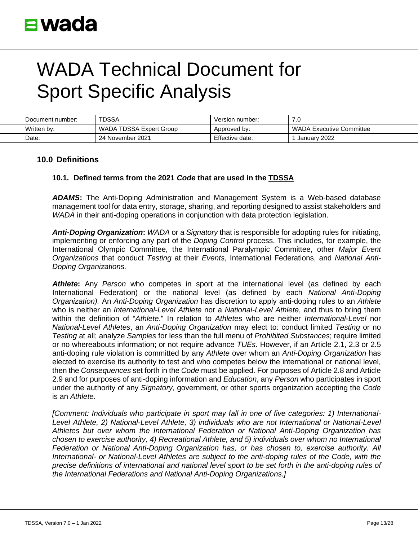| Document number: | TDSSA                   | Version number: | ט. ו                            |
|------------------|-------------------------|-----------------|---------------------------------|
| Written by:      | WADA TDSSA Expert Group | Approved by:    | <b>WADA Executive Committee</b> |
| Date:            | 24 November 2021        | Effective date: | January 2022                    |

### **10.0 Definitions**

#### **10.1. Defined terms from the 2021** *Code* **that are used in the TDSSA**

*ADAMS***:** The Anti-Doping Administration and Management System is a Web-based database management tool for data entry, storage, sharing, and reporting designed to assist stakeholders and *WADA* in their anti-doping operations in conjunction with data protection legislation.

*Anti-Doping Organization***:** *WADA* or a *Signatory* that is responsible for adopting rules for initiating, implementing or enforcing any part of the *Doping Control* process. This includes, for example, the International Olympic Committee, the International Paralympic Committee, other *Major Event Organizations* that conduct *Testing* at their *Events*, International Federations, and *National Anti-Doping Organizations.*

*Athlete***:** Any *Person* who competes in sport at the international level (as defined by each International Federation) or the national level (as defined by each *National Anti-Doping Organization).* An *Anti-Doping Organization* has discretion to apply anti-doping rules to an *Athlete*  who is neither an *International-Level Athlete* nor a *National-Level Athlete*, and thus to bring them within the definition of "*Athlete*." In relation to *Athletes* who are neither *International-Level* nor *National-Level Athletes*, an *Anti-Doping Organization* may elect to: conduct limited *Testing* or no *Testing* at all; analyze *Samples* for less than the full menu of *Prohibited Substances*; require limited or no whereabouts information; or not require advance *TUEs*. However, if an Article 2.1, 2.3 or 2.5 anti-doping rule violation is committed by any *Athlete* over whom an *Anti-Doping Organization* has elected to exercise its authority to test and who competes below the international or national level, then the *Consequences* set forth in the *Code* must be applied. For purposes of Article 2.8 and Article 2.9 and for purposes of anti-doping information and *Education*, any *Person* who participates in sport under the authority of any *Signatory*, government, or other sports organization accepting the *Code*  is an *Athlete*.

*[Comment: Individuals who participate in sport may fall in one of five categories: 1) International-Level Athlete, 2) National-Level Athlete, 3) individuals who are not International or National-Level Athletes but over whom the International Federation or National Anti-Doping Organization has chosen to exercise authority, 4) Recreational Athlete, and 5) individuals over whom no International Federation or National Anti-Doping Organization has, or has chosen to, exercise authority. All International- or National-Level Athletes are subject to the anti-doping rules of the Code, with the precise definitions of international and national level sport to be set forth in the anti-doping rules of the International Federations and National Anti-Doping Organizations.]*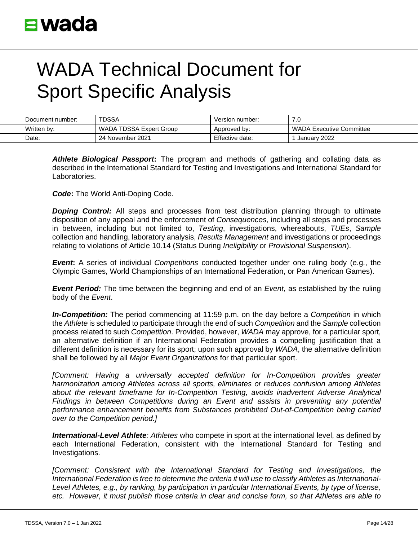| Document number: | <b>TDSSA</b>            | Version number: | 7.0                      |
|------------------|-------------------------|-----------------|--------------------------|
| Written by:      | WADA TDSSA Expert Group | Approved by:    | WADA Executive Committee |
| Date:            | 24 November 2021        | Effective date: | January 2022             |

*Athlete Biological Passport***:** The program and methods of gathering and collating data as described in the International Standard for Testing and Investigations and International Standard for Laboratories.

*Code***:** The World Anti-Doping Code.

*Doping Control:* All steps and processes from test distribution planning through to ultimate disposition of any appeal and the enforcement of *Consequences*, including all steps and processes in between, including but not limited to, *Testing*, investigations, whereabouts, *TUEs*, *Sample* collection and handling, laboratory analysis, *Results Management* and investigations or proceedings relating to violations of Article 10.14 (Status During *Ineligibility* or *Provisional Suspension*).

*Event***:** A series of individual *Competitions* conducted together under one ruling body (e.g., the Olympic Games, World Championships of an International Federation, or Pan American Games).

*Event Period:* The time between the beginning and end of an *Event*, as established by the ruling body of the *Event*.

*In-Competition:* The period commencing at 11:59 p.m. on the day before a *Competition* in which the *Athlete* is scheduled to participate through the end of such *Competition* and the *Sample* collection process related to such *Competition*. Provided, however, *WADA* may approve, for a particular sport, an alternative definition if an International Federation provides a compelling justification that a different definition is necessary for its sport; upon such approval by *WADA*, the alternative definition shall be followed by all *Major Event Organizations* for that particular sport.

*[Comment: Having a universally accepted definition for In-Competition provides greater harmonization among Athletes across all sports, eliminates or reduces confusion among Athletes about the relevant timeframe for In-Competition Testing, avoids inadvertent Adverse Analytical Findings in between Competitions during an Event and assists in preventing any potential performance enhancement benefits from Substances prohibited Out-of-Competition being carried over to the Competition period.]*

*International-Level Athlete: Athletes* who compete in sport at the international level, as defined by each International Federation, consistent with the International Standard for Testing and Investigations.

*[Comment: Consistent with the International Standard for Testing and Investigations, the International Federation is free to determine the criteria it will use to classify Athletes as International-Level Athletes, e.g., by ranking, by participation in particular International Events, by type of license, etc. However, it must publish those criteria in clear and concise form, so that Athletes are able to*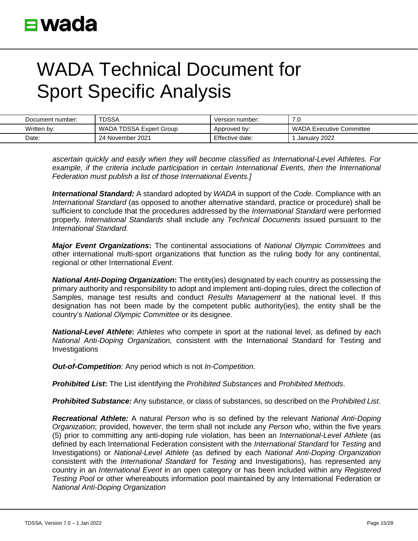| Document number: | <b>TDSSA</b>            | Version number: | 7.0                      |
|------------------|-------------------------|-----------------|--------------------------|
| Written by:      | WADA TDSSA Expert Group | Approved by:    | WADA Executive Committee |
| Date:            | 24 November 2021        | Effective date: | January 2022             |

*ascertain quickly and easily when they will become classified as International-Level Athletes. For*  example, if the criteria include participation in certain International Events, then the International *Federation must publish a list of those International Events.]*

*International Standard:* A standard adopted by *WADA* in support of the *Code.* Compliance with an *International Standard* (as opposed to another alternative standard, practice or procedure) shall be sufficient to conclude that the procedures addressed by the *International Standard* were performed properly*. International Standards* shall include any *Technical Documents* issued pursuant to the *International Standard.*

*Major Event Organizations***:** The continental associations of *National Olympic Committees* and other international multi-sport organizations that function as the ruling body for any continental, regional or other International *Event*.

*National Anti-Doping Organization***:** The entity(ies) designated by each country as possessing the primary authority and responsibility to adopt and implement anti-doping rules, direct the collection of *Sample*s, manage test results and conduct *Results Management* at the national level. If this designation has not been made by the competent public authority(ies), the entity shall be the country's *National Olympic Committee* or its designee.

*National-Level Athlete***:** *Athletes* who compete in sport at the national level, as defined by each *National Anti-Doping Organization,* consistent with the International Standard for Testing and Investigations

. *Out-of-Competition*: Any period which is not *In-Competition.*

*Prohibited List***:** The List identifying the *Prohibited Substances* and *Prohibited Methods*.

*Prohibited Substance:* Any substance, or class of substances, so described on the *Prohibited List.*

*Recreational Athlete:* A natural *Person* who is so defined by the relevant *National Anti-Doping Organization*; provided, however, the term shall not include any *Person* who, within the five years (5) prior to committing any anti-doping rule violation, has been an *International-Level Athlete* (as defined by each International Federation consistent with the *International Standard* for *Testing* and Investigations) or *National-Level Athlete* (as defined by each *National Anti-Doping Organization* consistent with the *International Standard* for *Testing* and Investigations), has represented any country in an *International Event* in an open category or has been included within any *Registered Testing Pool* or other whereabouts information pool maintained by any International Federation or *National Anti-Doping Organization*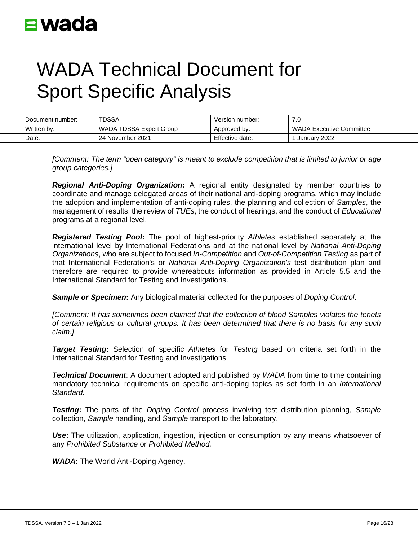| Document number: | TDSSA                   | Version number: | ں. ا                            |
|------------------|-------------------------|-----------------|---------------------------------|
| Written by:      | WADA TDSSA Expert Group | Approved by:    | <b>WADA Executive Committee</b> |
| Date:            | 24 November 2021        | Effective date: | January 2022                    |

*[Comment: The term "open category" is meant to exclude competition that is limited to junior or age group categories.]*

*Regional Anti-Doping Organization***:** A regional entity designated by member countries to coordinate and manage delegated areas of their national anti-doping programs, which may include the adoption and implementation of anti-doping rules, the planning and collection of *Samples*, the management of results, the review of *TUEs*, the conduct of hearings, and the conduct of *Educational* programs at a regional level.

*Registered Testing Pool***:** The pool of highest-priority *Athletes* established separately at the international level by International Federations and at the national level by *National Anti-Doping Organizations*, who are subject to focused *In-Competition* and *Out-of-Competition Testing* as part of that International Federation's or *National Anti-Doping Organization's* test distribution plan and therefore are required to provide whereabouts information as provided in Article 5.5 and the International Standard for Testing and Investigations.

*Sample or Specimen***:** Any biological material collected for the purposes of *Doping Control*.

*[Comment: It has sometimes been claimed that the collection of blood Samples violates the tenets of certain religious or cultural groups. It has been determined that there is no basis for any such claim.]*

*Target Testing***:** Selection of specific *Athletes* for *Testing* based on criteria set forth in the International Standard for Testing and Investigations*.*

*Technical Document*: A document adopted and published by *WADA* from time to time containing mandatory technical requirements on specific anti-doping topics as set forth in an *International Standard.*

*Testing***:** The parts of the *Doping Control* process involving test distribution planning, *Sample*  collection, *Sample* handling, and *Sample* transport to the laboratory.

**Use:** The utilization, application, ingestion, injection or consumption by any means whatsoever of any *Prohibited Substance* or *Prohibited Method.*

*WADA***:** The World Anti-Doping Agency.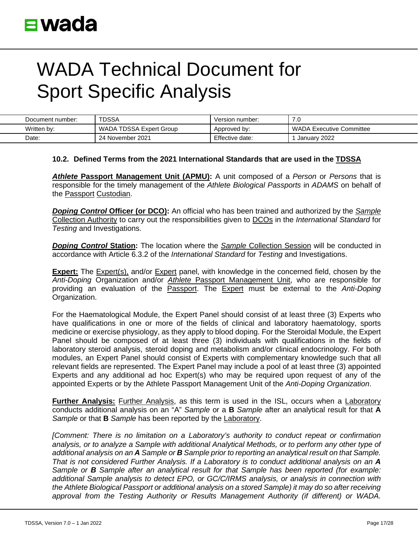| Document number: | <b>TDSSA</b>            | Version number: | ن ،                             |
|------------------|-------------------------|-----------------|---------------------------------|
| Written by:      | WADA TDSSA Expert Group | Approved by:    | <b>WADA Executive Committee</b> |
| Date:            | 24 November 2021        | Effective date: | January 2022                    |

#### **10.2. Defined Terms from the 2021 International Standards that are used in the TDSSA**

*Athlete* **Passport Management Unit (APMU):** A unit composed of a *Person* or *Persons* that is responsible for the timely management of the *Athlete Biological Passports* in *ADAMS* on behalf of the Passport Custodian.

*Doping Control* **Officer (or DCO):** An official who has been trained and authorized by the *Sample*  Collection Authority to carry out the responsibilities given to DCOs in the *International Standard* for *Testing* and Investigations.

*Doping Control* **Station:** The location where the *Sample* Collection Session will be conducted in accordance with Article 6.3.2 of the *International Standard* for *Testing* and Investigations.

**Expert:** The Expert(s), and/or Expert panel, with knowledge in the concerned field, chosen by the *Anti-Doping* Organization and/or *Athlete* Passport Management Unit, who are responsible for providing an evaluation of the Passport. The Expert must be external to the *Anti-Doping* Organization.

For the Haematological Module, the Expert Panel should consist of at least three (3) Experts who have qualifications in one or more of the fields of clinical and laboratory haematology, sports medicine or exercise physiology, as they apply to blood doping. For the Steroidal Module, the Expert Panel should be composed of at least three (3) individuals with qualifications in the fields of laboratory steroid analysis, steroid doping and metabolism and/or clinical endocrinology. For both modules, an Expert Panel should consist of Experts with complementary knowledge such that all relevant fields are represented. The Expert Panel may include a pool of at least three (3) appointed Experts and any additional ad hoc Expert(s) who may be required upon request of any of the appointed Experts or by the Athlete Passport Management Unit of the *Anti-Doping Organization*.

**Further Analysis:** Further Analysis, as this term is used in the ISL, occurs when a Laboratory conducts additional analysis on an "A" *Sample* or a **B** *Sample* after an analytical result for that **A** *Sample* or that **B** *Sample* has been reported by the Laboratory.

*[Comment: There is no limitation on a Laboratory's authority to conduct repeat or confirmation analysis, or to analyze a Sample with additional Analytical Methods, or to perform any other type of additional analysis on an A Sample or B Sample prior to reporting an analytical result on that Sample. That is not considered Further Analysis. If a Laboratory is to conduct additional analysis on an A Sample or B Sample after an analytical result for that Sample has been reported (for example: additional Sample analysis to detect EPO, or GC/C/IRMS analysis, or analysis in connection with the Athlete Biological Passport or additional analysis on a stored Sample) it may do so after receiving approval from the Testing Authority or Results Management Authority (if different) or WADA.*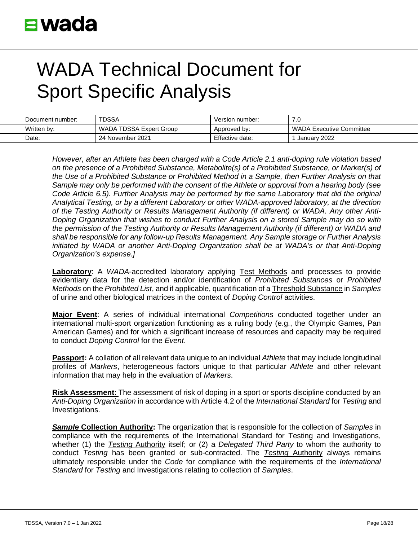| Document number: | TDSSA                   | Version number: | .u                              |
|------------------|-------------------------|-----------------|---------------------------------|
| Written by:      | WADA TDSSA Expert Group | Approved by:    | <b>WADA Executive Committee</b> |
| Date:            | 24 November 2021        | Effective date: | January 2022                    |

*However, after an Athlete has been charged with a Code Article 2.1 anti-doping rule violation based on the presence of a Prohibited Substance, Metabolite(s) of a Prohibited Substance, or Marker(s) of the Use of a Prohibited Substance or Prohibited Method in a Sample, then Further Analysis on that Sample may only be performed with the consent of the Athlete or approval from a hearing body (see Code Article 6.5). Further Analysis may be performed by the same Laboratory that did the original Analytical Testing, or by a different Laboratory or other WADA-approved laboratory, at the direction of the Testing Authority or Results Management Authority (if different) or WADA. Any other Anti-Doping Organization that wishes to conduct Further Analysis on a stored Sample may do so with the permission of the Testing Authority or Results Management Authority (if different) or WADA and shall be responsible for any follow-up Results Management. Any Sample storage or Further Analysis initiated by WADA or another Anti-Doping Organization shall be at WADA's or that Anti-Doping Organization's expense.]* 

**Laboratory**: A *WADA*-accredited laboratory applying Test Methods and processes to provide evidentiary data for the detection and/or identification of *Prohibited Substances* or *Prohibited Methods* on the *Prohibited List*, and if applicable, quantification of a Threshold Substance in *Samples*  of urine and other biological matrices in the context of *Doping Control* activities.

**Major Event**: A series of individual international *Competitions* conducted together under an international multi-sport organization functioning as a ruling body (e.g., the Olympic Games, Pan American Games) and for which a significant increase of resources and capacity may be required to conduct *Doping Control* for the *Event*.

**Passport:** A collation of all relevant data unique to an individual *Athlete* that may include longitudinal profiles of *Markers*, heterogeneous factors unique to that particular *Athlete* and other relevant information that may help in the evaluation of *Markers*.

**Risk Assessment**: The assessment of risk of doping in a sport or sports discipline conducted by an *Anti-Doping Organization* in accordance with Article 4.2 of the *International Standard* for *Testing* and Investigations.

*Sample* **Collection Authority:** The organization that is responsible for the collection of *Samples* in compliance with the requirements of the International Standard for Testing and Investigations, whether (1) the *Testing* Authority itself; or (2) a *Delegated Third Party* to whom the authority to conduct *Testing* has been granted or sub-contracted. The *Testing* Authority always remains ultimately responsible under the *Code* for compliance with the requirements of the *International Standard* for *Testing* and Investigations relating to collection of *Samples*.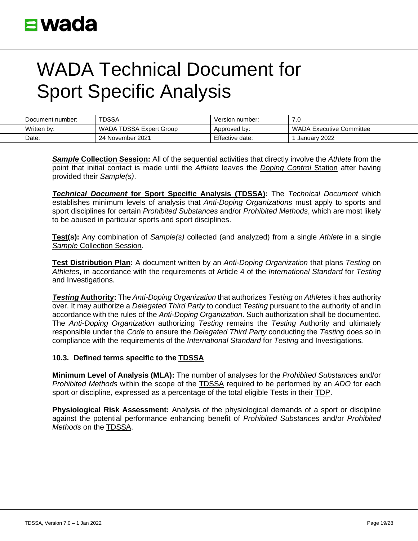| Document number: | TDSSA                   | Version number: | .u                              |
|------------------|-------------------------|-----------------|---------------------------------|
| Written by:      | WADA TDSSA Expert Group | Approved by:    | <b>WADA Executive Committee</b> |
| Date:            | 24 November 2021        | Effective date: | January 2022                    |

*Sample* **Collection Session:** All of the sequential activities that directly involve the *Athlete* from the point that initial contact is made until the *Athlete* leaves the *Doping Control* Station after having provided their *Sample(s)*.

*Technical Document* **for Sport Specific Analysis (TDSSA):** The *Technical Document* which establishes minimum levels of analysis that *Anti-Doping Organizations* must apply to sports and sport disciplines for certain *Prohibited Substances* and/or *Prohibited Methods*, which are most likely to be abused in particular sports and sport disciplines.

**Test(s):** Any combination of *Sample(s)* collected (and analyzed) from a single *Athlete* in a single *Sample* Collection Session.

**Test Distribution Plan:** A document written by an *Anti-Doping Organization* that plans *Testing* on *Athletes*, in accordance with the requirements of Article 4 of the *International Standard* for *Testing* and Investigations*.*

*Testing* **Authority:** The *Anti-Doping Organization* that authorizes *Testing* on *Athletes* it has authority over. It may authorize a *Delegated Third Party* to conduct *Testing* pursuant to the authority of and in accordance with the rules of the *Anti-Doping Organization*. Such authorization shall be documented. The *Anti-Doping Organization* authorizing *Testing* remains the *Testing* Authority and ultimately responsible under the *Code* to ensure the *Delegated Third Party* conducting the *Testing* does so in compliance with the requirements of the *International Standard* for *Testing* and Investigations.

### **10.3. Defined terms specific to the TDSSA**

**Minimum Level of Analysis (MLA):** The number of analyses for the *Prohibited Substances* and/or *Prohibited Methods* within the scope of the TDSSA required to be performed by an *ADO* for each sport or discipline, expressed as a percentage of the total eligible Tests in their TDP.

**Physiological Risk Assessment:** Analysis of the physiological demands of a sport or discipline against the potential performance enhancing benefit of *Prohibited Substances* and/or *Prohibited Methods* on the TDSSA.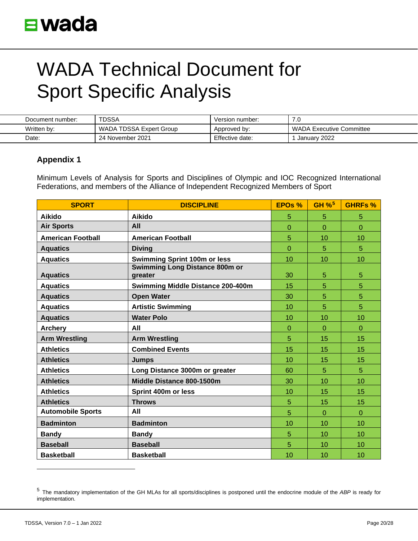| Document number: | <b>TDSSA</b>            | Version number: | .u                       |
|------------------|-------------------------|-----------------|--------------------------|
| Written by:      | WADA TDSSA Expert Group | Approved by:    | WADA Executive Committee |
| Date:            | 24 November 2021        | Effective date: | January 2022             |

### **Appendix 1**

Minimum Levels of Analysis for Sports and Disciplines of Olympic and IOC Recognized International Federations, and members of the Alliance of Independent Recognized Members of Sport

| <b>SPORT</b>             | <b>DISCIPLINE</b>                                | <b>EPOS %</b> | GH $%$ <sup>5</sup> | <b>GHRFs %</b> |
|--------------------------|--------------------------------------------------|---------------|---------------------|----------------|
| <b>Aikido</b>            | <b>Aikido</b>                                    | 5             | 5                   | 5              |
| <b>Air Sports</b>        | All                                              | $\Omega$      | $\Omega$            | $\Omega$       |
| <b>American Football</b> | <b>American Football</b>                         | 5             | 10                  | 10             |
| <b>Aquatics</b>          | <b>Diving</b>                                    | $\Omega$      | 5                   | 5              |
| <b>Aquatics</b>          | <b>Swimming Sprint 100m or less</b>              | 10            | 10                  | 10             |
| <b>Aquatics</b>          | <b>Swimming Long Distance 800m or</b><br>greater | 30            | 5                   | 5              |
| <b>Aquatics</b>          | Swimming Middle Distance 200-400m                | 15            | 5                   | 5              |
| <b>Aquatics</b>          | <b>Open Water</b>                                | 30            | 5                   | 5              |
| <b>Aquatics</b>          | <b>Artistic Swimming</b>                         | 10            | 5                   | 5              |
| <b>Aquatics</b>          | <b>Water Polo</b>                                | 10            | 10                  | 10             |
| <b>Archery</b>           | All                                              | $\Omega$      | $\overline{0}$      | $\overline{0}$ |
| <b>Arm Wrestling</b>     | <b>Arm Wrestling</b>                             | 5             | 15                  | 15             |
| <b>Athletics</b>         | <b>Combined Events</b>                           | 15            | 15                  | 15             |
| <b>Athletics</b>         | <b>Jumps</b>                                     | 10            | 15                  | 15             |
| <b>Athletics</b>         | Long Distance 3000m or greater                   | 60            | 5                   | 5              |
| <b>Athletics</b>         | Middle Distance 800-1500m                        | 30            | 10                  | 10             |
| <b>Athletics</b>         | Sprint 400m or less                              | 10            | 15                  | 15             |
| <b>Athletics</b>         | <b>Throws</b>                                    | 5             | 15                  | 15             |
| <b>Automobile Sports</b> | All                                              | 5             | $\Omega$            | $\overline{0}$ |
| <b>Badminton</b>         | <b>Badminton</b>                                 | 10            | 10                  | 10             |
| <b>Bandy</b>             | <b>Bandy</b>                                     | 5             | 10                  | 10             |
| <b>Baseball</b>          | <b>Baseball</b>                                  | 5             | 10                  | 10             |
| <b>Basketball</b>        | <b>Basketball</b>                                | 10            | 10                  | 10             |

<span id="page-19-0"></span><sup>5</sup> The mandatory implementation of the GH MLAs for all sports/disciplines is postponed until the endocrine module of the *ABP* is ready for implementation.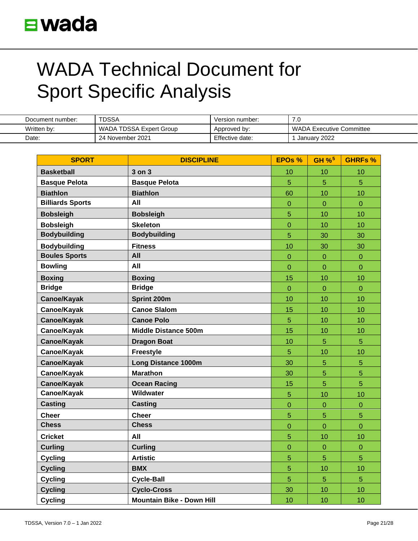| Document number: | TDSSA                   | Version number: | 7.0                      |
|------------------|-------------------------|-----------------|--------------------------|
| Written by:      | WADA TDSSA Expert Group | Approved by:    | WADA Executive Committee |
| Date:            | 24 November 2021        | Effective date: | January 2022             |

| <b>SPORT</b>            | <b>DISCIPLINE</b>                | <b>EPOs %</b>  | GH $%$ <sup>5</sup> | <b>GHRFs %</b> |
|-------------------------|----------------------------------|----------------|---------------------|----------------|
| <b>Basketball</b>       | $3$ on $3$                       | 10             | 10                  | 10             |
| <b>Basque Pelota</b>    | <b>Basque Pelota</b>             | 5              | 5                   | 5              |
| <b>Biathlon</b>         | <b>Biathlon</b>                  | 60             | 10                  | 10             |
| <b>Billiards Sports</b> | All                              | $\overline{0}$ | $\overline{0}$      | $\overline{0}$ |
| <b>Bobsleigh</b>        | <b>Bobsleigh</b>                 | 5              | 10                  | 10             |
| <b>Bobsleigh</b>        | <b>Skeleton</b>                  | $\overline{0}$ | 10                  | 10             |
| <b>Bodybuilding</b>     | <b>Bodybuilding</b>              | 5              | 30                  | 30             |
| <b>Bodybuilding</b>     | <b>Fitness</b>                   | 10             | 30                  | 30             |
| <b>Boules Sports</b>    | All                              | $\overline{0}$ | $\overline{0}$      | $\overline{0}$ |
| <b>Bowling</b>          | All                              | $\mathbf{0}$   | $\mathbf 0$         | $\mathbf 0$    |
| <b>Boxing</b>           | <b>Boxing</b>                    | 15             | 10                  | 10             |
| <b>Bridge</b>           | <b>Bridge</b>                    | $\overline{0}$ | $\overline{0}$      | $\overline{0}$ |
| Canoe/Kayak             | Sprint 200m                      | 10             | 10                  | 10             |
| Canoe/Kayak             | <b>Canoe Slalom</b>              | 15             | 10                  | 10             |
| Canoe/Kayak             | <b>Canoe Polo</b>                | $\overline{5}$ | 10                  | 10             |
| Canoe/Kayak             | Middle Distance 500m             | 15             | 10                  | 10             |
| Canoe/Kayak             | <b>Dragon Boat</b>               | 10             | 5                   | 5              |
| Canoe/Kayak             | <b>Freestyle</b>                 | 5              | 10                  | 10             |
| Canoe/Kayak             | <b>Long Distance 1000m</b>       | 30             | 5                   | $\overline{5}$ |
| Canoe/Kayak             | <b>Marathon</b>                  | 30             | 5                   | 5              |
| Canoe/Kayak             | <b>Ocean Racing</b>              | 15             | 5                   | 5              |
| Canoe/Kayak             | Wildwater                        | 5              | 10                  | 10             |
| <b>Casting</b>          | <b>Casting</b>                   | $\overline{0}$ | $\overline{0}$      | $\overline{0}$ |
| <b>Cheer</b>            | <b>Cheer</b>                     | 5              | 5                   | 5              |
| <b>Chess</b>            | <b>Chess</b>                     | $\overline{0}$ | $\overline{0}$      | $\overline{0}$ |
| <b>Cricket</b>          | All                              | 5              | 10                  | 10             |
| <b>Curling</b>          | <b>Curling</b>                   | $\overline{0}$ | $\overline{0}$      | $\mathbf 0$    |
| <b>Cycling</b>          | <b>Artistic</b>                  | 5              | 5                   | 5              |
| <b>Cycling</b>          | <b>BMX</b>                       | 5              | 10                  | 10             |
| <b>Cycling</b>          | <b>Cycle-Ball</b>                | 5              | 5                   | 5              |
| <b>Cycling</b>          | <b>Cyclo-Cross</b>               | 30             | 10                  | 10             |
| <b>Cycling</b>          | <b>Mountain Bike - Down Hill</b> | 10             | 10                  | 10             |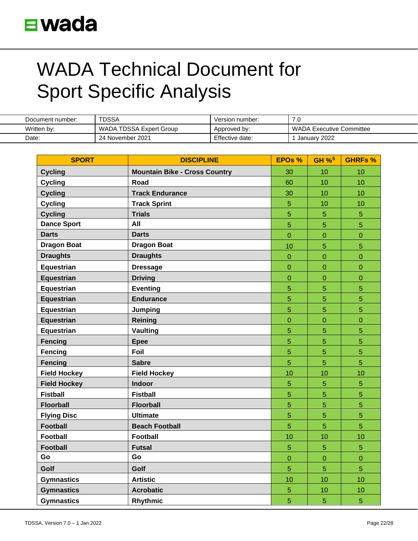| Document number: | <b>TDSSA</b>            | Version number: | ΄.∪                             |
|------------------|-------------------------|-----------------|---------------------------------|
| Written by:      | WADA TDSSA Expert Group | Approved by:    | <b>WADA Executive Committee</b> |
| Date:            | 24 November 2021        | Effective date: | January 2022                    |

| <b>SPORT</b>        | <b>DISCIPLINE</b>                    | <b>EPOs %</b>  | GH % <sup>5</sup> | <b>GHRFs %</b> |
|---------------------|--------------------------------------|----------------|-------------------|----------------|
| <b>Cycling</b>      | <b>Mountain Bike - Cross Country</b> | 30             | 10                | 10             |
| <b>Cycling</b>      | Road                                 | 60             | 10                | 10             |
| <b>Cycling</b>      | <b>Track Endurance</b>               | 30             | 10                | 10             |
| <b>Cycling</b>      | <b>Track Sprint</b>                  | $\overline{5}$ | 10                | 10             |
| <b>Cycling</b>      | <b>Trials</b>                        | 5              | 5                 | 5              |
| <b>Dance Sport</b>  | All                                  | 5              | 5                 | 5              |
| <b>Darts</b>        | <b>Darts</b>                         | $\overline{0}$ | $\overline{0}$    | $\overline{0}$ |
| <b>Dragon Boat</b>  | <b>Dragon Boat</b>                   | 10             | 5                 | 5              |
| <b>Draughts</b>     | <b>Draughts</b>                      | $\mathbf{0}$   | $\overline{0}$    | $\overline{0}$ |
| <b>Equestrian</b>   | <b>Dressage</b>                      | $\mathbf{0}$   | $\overline{0}$    | $\overline{0}$ |
| <b>Equestrian</b>   | <b>Driving</b>                       | $\mathbf{0}$   | $\overline{0}$    | $\overline{0}$ |
| Equestrian          | <b>Eventing</b>                      | $\overline{5}$ | 5                 | $\overline{5}$ |
| <b>Equestrian</b>   | <b>Endurance</b>                     | 5              | 5                 | 5              |
| Equestrian          | Jumping                              | $\overline{5}$ | 5                 | 5              |
| <b>Equestrian</b>   | Reining                              | $\overline{0}$ | $\overline{0}$    | $\mathbf 0$    |
| Equestrian          | <b>Vaulting</b>                      | 5              | 5                 | 5              |
| <b>Fencing</b>      | <b>Epee</b>                          | 5              | 5                 | 5              |
| Fencing             | Foil                                 | $\overline{5}$ | $\overline{5}$    | 5              |
| Fencing             | <b>Sabre</b>                         | $\overline{5}$ | $\overline{5}$    | 5              |
| <b>Field Hockey</b> | <b>Field Hockey</b>                  | 10             | 10                | 10             |
| <b>Field Hockey</b> | Indoor                               | 5              | 5                 | 5              |
| <b>Fistball</b>     | <b>Fistball</b>                      | $\overline{5}$ | 5                 | $\overline{5}$ |
| <b>Floorball</b>    | <b>Floorball</b>                     | $\overline{5}$ | 5                 | 5              |
| <b>Flying Disc</b>  | <b>Ultimate</b>                      | 5              | 5                 | $\overline{5}$ |
| <b>Football</b>     | <b>Beach Football</b>                | 5              | 5                 | 5              |
| <b>Football</b>     | <b>Football</b>                      | 10             | 10                | 10             |
| <b>Football</b>     | <b>Futsal</b>                        | $\overline{5}$ | $\overline{5}$    | $\overline{5}$ |
| Go                  | Go                                   | $\overline{0}$ | $\overline{0}$    | $\overline{0}$ |
| Golf                | Golf                                 | 5              | 5                 | 5              |
| <b>Gymnastics</b>   | <b>Artistic</b>                      | 10             | 10                | 10             |
| <b>Gymnastics</b>   | <b>Acrobatic</b>                     | 5              | 10                | 10             |
| <b>Gymnastics</b>   | Rhythmic                             | 5              | 5                 | 5              |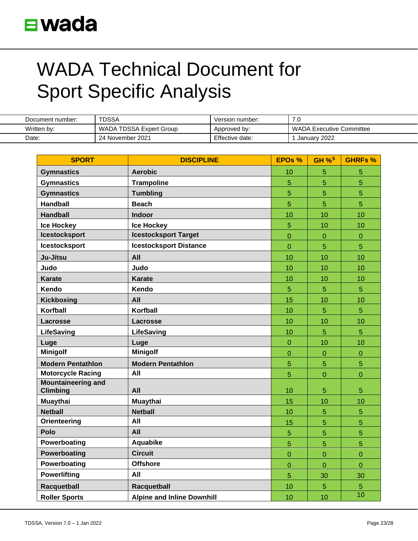| Document number: | TDSSA                   | Version number: | 7.0                      |
|------------------|-------------------------|-----------------|--------------------------|
| Written by:      | WADA TDSSA Expert Group | Approved by:    | WADA Executive Committee |
| Date:            | 24 November 2021        | Effective date: | January 2022             |

| <b>SPORT</b>                                 | <b>DISCIPLINE</b>                 | <b>EPOs %</b>  | GH % <sup>5</sup> | <b>GHRFs %</b> |
|----------------------------------------------|-----------------------------------|----------------|-------------------|----------------|
| <b>Gymnastics</b>                            | <b>Aerobic</b>                    | 10             | 5                 | 5              |
| <b>Gymnastics</b>                            | <b>Trampoline</b>                 | $\overline{5}$ | $\overline{5}$    | 5              |
| <b>Gymnastics</b>                            | <b>Tumbling</b>                   | 5              | 5                 | 5              |
| <b>Handball</b>                              | <b>Beach</b>                      | 5              | 5                 | 5              |
| <b>Handball</b>                              | <b>Indoor</b>                     | 10             | 10                | 10             |
| <b>Ice Hockey</b>                            | <b>Ice Hockey</b>                 | 5              | 10                | 10             |
| <b>Icestocksport</b>                         | <b>Icestocksport Target</b>       | $\overline{0}$ | $\overline{0}$    | $\overline{0}$ |
| <b>Icestocksport</b>                         | <b>Icestocksport Distance</b>     | $\overline{0}$ | 5                 | 5              |
| Ju-Jitsu                                     | All                               | 10             | 10                | 10             |
| Judo                                         | Judo                              | 10             | 10                | 10             |
| <b>Karate</b>                                | <b>Karate</b>                     | 10             | 10                | 10             |
| Kendo                                        | Kendo                             | 5              | 5                 | 5              |
| <b>Kickboxing</b>                            | All                               | 15             | 10                | 10             |
| Korfball                                     | Korfball                          | 10             | 5                 | 5              |
| <b>Lacrosse</b>                              | Lacrosse                          | 10             | 10                | 10             |
| <b>LifeSaving</b>                            | <b>LifeSaving</b>                 | 10             | $\overline{5}$    | 5              |
| Luge                                         | Luge                              | $\mathbf{0}$   | 10                | 10             |
| <b>Minigolf</b>                              | <b>Minigolf</b>                   | $\overline{0}$ | $\overline{0}$    | $\overline{0}$ |
| <b>Modern Pentathlon</b>                     | <b>Modern Pentathlon</b>          | 5              | 5                 | 5              |
| <b>Motorcycle Racing</b>                     | All                               | $\overline{5}$ | $\overline{0}$    | $\overline{0}$ |
| <b>Mountaineering and</b><br><b>Climbing</b> | All                               | 10             | 5                 | 5              |
| <b>Muaythai</b>                              | <b>Muaythai</b>                   | 15             | 10                | 10             |
| <b>Netball</b>                               | <b>Netball</b>                    | 10             | 5                 | 5              |
| Orienteering                                 | All                               | 15             | 5                 | 5              |
| Polo                                         | All                               | 5              | 5                 | 5              |
| Powerboating                                 | Aquabike                          | $\overline{5}$ | 5                 | 5              |
| Powerboating                                 | <b>Circuit</b>                    | $\overline{0}$ | $\overline{0}$    | $\overline{0}$ |
| Powerboating                                 | <b>Offshore</b>                   | $\overline{0}$ | 0                 | $\overline{0}$ |
| <b>Powerlifting</b>                          | All                               | 5              | 30                | 30             |
| Racquetball                                  | Racquetball                       | 10             | 5                 | 5              |
| <b>Roller Sports</b>                         | <b>Alpine and Inline Downhill</b> | 10             | 10                | 10             |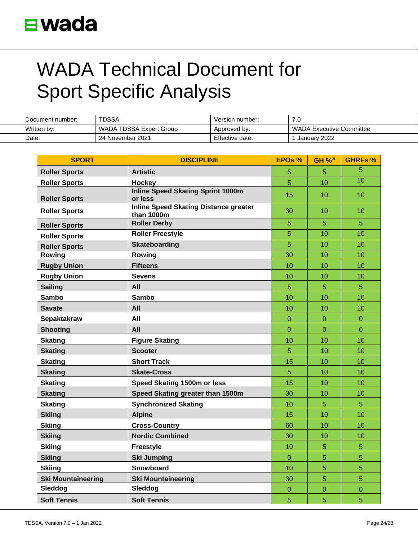| Document number: | TDSSA                   | Version number: | 7.0                      |
|------------------|-------------------------|-----------------|--------------------------|
| Written by:      | WADA TDSSA Expert Group | Approved by:    | WADA Executive Committee |
| Date:            | 24 November 2021        | Effective date: | January 2022             |

| <b>SPORT</b>              | <b>DISCIPLINE</b>                                          | <b>EPOs %</b>  | $GH %^5$       | <b>GHRFs %</b> |
|---------------------------|------------------------------------------------------------|----------------|----------------|----------------|
| <b>Roller Sports</b>      | <b>Artistic</b>                                            | 5              | 5              | 5              |
| <b>Roller Sports</b>      | Hockey                                                     | 5              | 10             | 10             |
| <b>Roller Sports</b>      | <b>Inline Speed Skating Sprint 1000m</b><br>or less        | 15             | 10             | 10             |
| <b>Roller Sports</b>      | <b>Inline Speed Skating Distance greater</b><br>than 1000m | 30             | 10             | 10             |
| <b>Roller Sports</b>      | <b>Roller Derby</b>                                        | 5              | 5              | 5              |
| <b>Roller Sports</b>      | <b>Roller Freestyle</b>                                    | $\overline{5}$ | 10             | 10             |
| <b>Roller Sports</b>      | <b>Skateboarding</b>                                       | $\overline{5}$ | 10             | 10             |
| Rowing                    | Rowing                                                     | 30             | 10             | 10             |
| <b>Rugby Union</b>        | <b>Fifteens</b>                                            | 10             | 10             | 10             |
| <b>Rugby Union</b>        | <b>Sevens</b>                                              | 10             | 10             | 10             |
| <b>Sailing</b>            | All                                                        | $\overline{5}$ | 5              | 5              |
| <b>Sambo</b>              | <b>Sambo</b>                                               | 10             | 10             | 10             |
| <b>Savate</b>             | All                                                        | 10             | 10             | 10             |
| <b>Sepaktakraw</b>        | All                                                        | $\mathbf{0}$   | 0              | $\mathbf 0$    |
| <b>Shooting</b>           | All                                                        | $\overline{0}$ | $\overline{0}$ | $\overline{0}$ |
| <b>Skating</b>            | <b>Figure Skating</b>                                      | 10             | 10             | 10             |
| <b>Skating</b>            | <b>Scooter</b>                                             | 5              | 10             | 10             |
| <b>Skating</b>            | <b>Short Track</b>                                         | 15             | 10             | 10             |
| <b>Skating</b>            | <b>Skate-Cross</b>                                         | 5              | 10             | 10             |
| <b>Skating</b>            | Speed Skating 1500m or less                                | 15             | 10             | 10             |
| <b>Skating</b>            | Speed Skating greater than 1500m                           | 30             | 10             | 10             |
| <b>Skating</b>            | <b>Synchronized Skating</b>                                | 10             | 5              | 5              |
| <b>Skiing</b>             | <b>Alpine</b>                                              | 15             | 10             | 10             |
| <b>Skiing</b>             | <b>Cross-Country</b>                                       | 60             | 10             | 10             |
| <b>Skiing</b>             | <b>Nordic Combined</b>                                     | 30             | 10             | 10             |
| <b>Skiing</b>             | <b>Freestyle</b>                                           | 10             | 5              | 5              |
| <b>Skiing</b>             | <b>Ski Jumping</b>                                         | $\overline{0}$ | 5              | 5              |
| <b>Skiing</b>             | Snowboard                                                  | 10             | 5              | 5              |
| <b>Ski Mountaineering</b> | <b>Ski Mountaineering</b>                                  | 30             | 5              | 5              |
| Sleddog                   | Sleddog                                                    | $\mathbf{0}$   | $\mathbf 0$    | $\mathbf 0$    |
| <b>Soft Tennis</b>        | <b>Soft Tennis</b>                                         | 5              | 5              | 5              |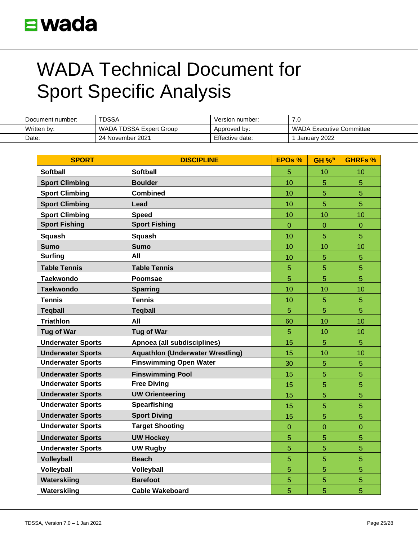| Document number: | <b>TDSSA</b>            | Version number: | ΄.∪                             |
|------------------|-------------------------|-----------------|---------------------------------|
| Written by:      | WADA TDSSA Expert Group | Approved by:    | <b>WADA Executive Committee</b> |
| Date:            | 24 November 2021        | Effective date: | January 2022                    |

| <b>SPORT</b>             | <b>DISCIPLINE</b>                       | EPO <sub>s</sub> % | GH $%$ <sup>5</sup> | <b>GHRFs %</b> |
|--------------------------|-----------------------------------------|--------------------|---------------------|----------------|
| <b>Softball</b>          | <b>Softball</b>                         | 5                  | 10                  | 10             |
| <b>Sport Climbing</b>    | <b>Boulder</b>                          | 10                 | 5                   | 5              |
| <b>Sport Climbing</b>    | <b>Combined</b>                         | 10                 | 5                   | 5              |
| <b>Sport Climbing</b>    | Lead                                    | 10                 | 5                   | 5              |
| <b>Sport Climbing</b>    | <b>Speed</b>                            | 10                 | 10                  | 10             |
| <b>Sport Fishing</b>     | <b>Sport Fishing</b>                    | $\overline{0}$     | $\overline{0}$      | 0              |
| <b>Squash</b>            | <b>Squash</b>                           | 10                 | 5                   | 5              |
| <b>Sumo</b>              | <b>Sumo</b>                             | 10                 | 10                  | 10             |
| <b>Surfing</b>           | All                                     | 10                 | 5                   | 5              |
| <b>Table Tennis</b>      | <b>Table Tennis</b>                     | 5                  | 5                   | 5              |
| <b>Taekwondo</b>         | Poomsae                                 | $\overline{5}$     | 5                   | 5              |
| <b>Taekwondo</b>         | <b>Sparring</b>                         | 10                 | 10                  | 10             |
| <b>Tennis</b>            | <b>Tennis</b>                           | 10                 | 5                   | 5              |
| <b>Teqball</b>           | <b>Tegball</b>                          | $\overline{5}$     | 5                   | 5              |
| <b>Triathlon</b>         | All                                     | 60                 | 10                  | 10             |
| <b>Tug of War</b>        | <b>Tug of War</b>                       | 5                  | 10                  | 10             |
| <b>Underwater Sports</b> | Apnoea (all subdisciplines)             | 15                 | 5                   | 5              |
| <b>Underwater Sports</b> | <b>Aquathlon (Underwater Wrestling)</b> | 15                 | 10                  | 10             |
| <b>Underwater Sports</b> | <b>Finswimming Open Water</b>           | 30                 | 5                   | 5              |
| <b>Underwater Sports</b> | <b>Finswimming Pool</b>                 | 15                 | 5                   | 5              |
| <b>Underwater Sports</b> | <b>Free Diving</b>                      | 15                 | 5                   | 5              |
| <b>Underwater Sports</b> | <b>UW Orienteering</b>                  | 15                 | 5                   | 5              |
| <b>Underwater Sports</b> | <b>Spearfishing</b>                     | 15                 | 5                   | 5              |
| <b>Underwater Sports</b> | <b>Sport Diving</b>                     | 15                 | 5                   | 5              |
| <b>Underwater Sports</b> | <b>Target Shooting</b>                  | $\mathbf 0$        | $\overline{0}$      | 0              |
| <b>Underwater Sports</b> | <b>UW Hockey</b>                        | 5                  | 5                   | 5              |
| <b>Underwater Sports</b> | <b>UW Rugby</b>                         | 5                  | 5                   | 5              |
| <b>Volleyball</b>        | <b>Beach</b>                            | 5                  | 5                   | 5              |
| Volleyball               | Volleyball                              | 5                  | 5                   | 5              |
| Waterskiing              | <b>Barefoot</b>                         | 5                  | 5                   | 5              |
| Waterskiing              | <b>Cable Wakeboard</b>                  | 5                  | 5                   | 5              |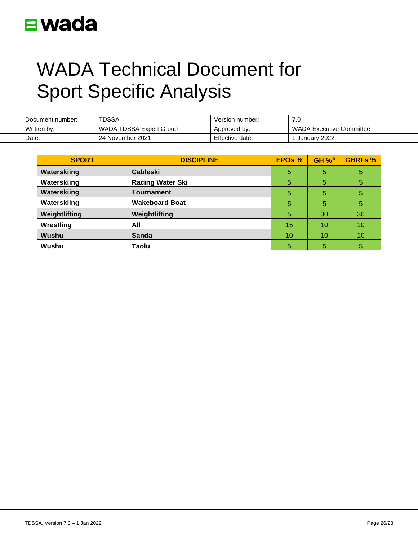

| Document number: | <b>TDSSA</b>            | Version number: | ں. ا                     |
|------------------|-------------------------|-----------------|--------------------------|
| Written by:      | WADA TDSSA Expert Group | Approved by:    | WADA Executive Committee |
| Date:            | 24 November 2021        | Effective date: | January 2022             |

| <b>SPORT</b>  | <b>DISCIPLINE</b>       | EPOs % | $GH %^5$ | <b>GHRFs %</b> |
|---------------|-------------------------|--------|----------|----------------|
| Waterskiing   | <b>Cableski</b>         | 5      | 5        | 5              |
| Waterskiing   | <b>Racing Water Ski</b> | 5      | 5        | 5              |
| Waterskiing   | Tournament              | 5      | 5        | 5              |
| Waterskiing   | <b>Wakeboard Boat</b>   | 5      | 5        | 5              |
| Weightlifting | Weightlifting           | 5      | 30       | 30             |
| Wrestling     | All                     | 15     | 10       | 10             |
| <b>Wushu</b>  | <b>Sanda</b>            | 10     | 10       | 10             |
| <b>Wushu</b>  | Taolu                   | 5      | 5        | 5              |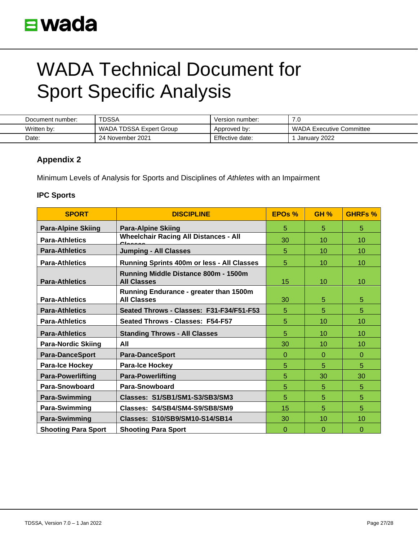| Document number: | <b>TDSSA</b>            | Version number: | –<br>้.บ                        |
|------------------|-------------------------|-----------------|---------------------------------|
| Written by:      | WADA TDSSA Expert Group | Approved by:    | <b>WADA Executive Committee</b> |
| Date:            | 24 November 2021        | Effective date: | January 2022                    |

### **Appendix 2**

Minimum Levels of Analysis for Sports and Disciplines of *Athletes* with an Impairment

### **IPC Sports**

| <b>SPORT</b>               | <b>DISCIPLINE</b>                                            | EPOs %       | <b>GH %</b> | <b>GHRFs %</b> |
|----------------------------|--------------------------------------------------------------|--------------|-------------|----------------|
| <b>Para-Alpine Skiing</b>  | <b>Para-Alpine Skiing</b>                                    | 5            | 5           | 5              |
| <b>Para-Athletics</b>      | <b>Wheelchair Racing All Distances - All</b><br>Cloccoc      | 30           | 10          | 10             |
| <b>Para-Athletics</b>      | <b>Jumping - All Classes</b>                                 | 5            | 10          | 10             |
| <b>Para-Athletics</b>      | Running Sprints 400m or less - All Classes                   | 5            | 10          | 10             |
| <b>Para-Athletics</b>      | Running Middle Distance 800m - 1500m<br><b>All Classes</b>   | 15           | 10          | 10             |
| <b>Para-Athletics</b>      | Running Endurance - greater than 1500m<br><b>All Classes</b> | 30           | 5           | 5              |
| <b>Para-Athletics</b>      | Seated Throws - Classes: F31-F34/F51-F53                     | 5            | 5           | 5              |
| <b>Para-Athletics</b>      | Seated Throws - Classes: F54-F57                             | 5            | 10          | 10             |
| <b>Para-Athletics</b>      | <b>Standing Throws - All Classes</b>                         | 5            | 10          | 10             |
| <b>Para-Nordic Skiing</b>  | AII                                                          | 30           | 10          | 10             |
| <b>Para-DanceSport</b>     | <b>Para-DanceSport</b>                                       | $\Omega$     | $\Omega$    | $\Omega$       |
| <b>Para-Ice Hockey</b>     | <b>Para-Ice Hockey</b>                                       | 5            | 5           | 5              |
| <b>Para-Powerlifting</b>   | <b>Para-Powerlifting</b>                                     | 5            | 30          | 30             |
| <b>Para-Snowboard</b>      | <b>Para-Snowboard</b>                                        | 5            | 5           | 5              |
| <b>Para-Swimming</b>       | Classes: S1/SB1/SM1-S3/SB3/SM3                               | 5            | 5           | 5              |
| Para-Swimming              | Classes: S4/SB4/SM4-S9/SB8/SM9                               | 15           | 5           | 5              |
| <b>Para-Swimming</b>       | Classes: S10/SB9/SM10-S14/SB14                               | 30           | 10          | 10             |
| <b>Shooting Para Sport</b> | <b>Shooting Para Sport</b>                                   | $\mathbf{0}$ | 0           | $\Omega$       |